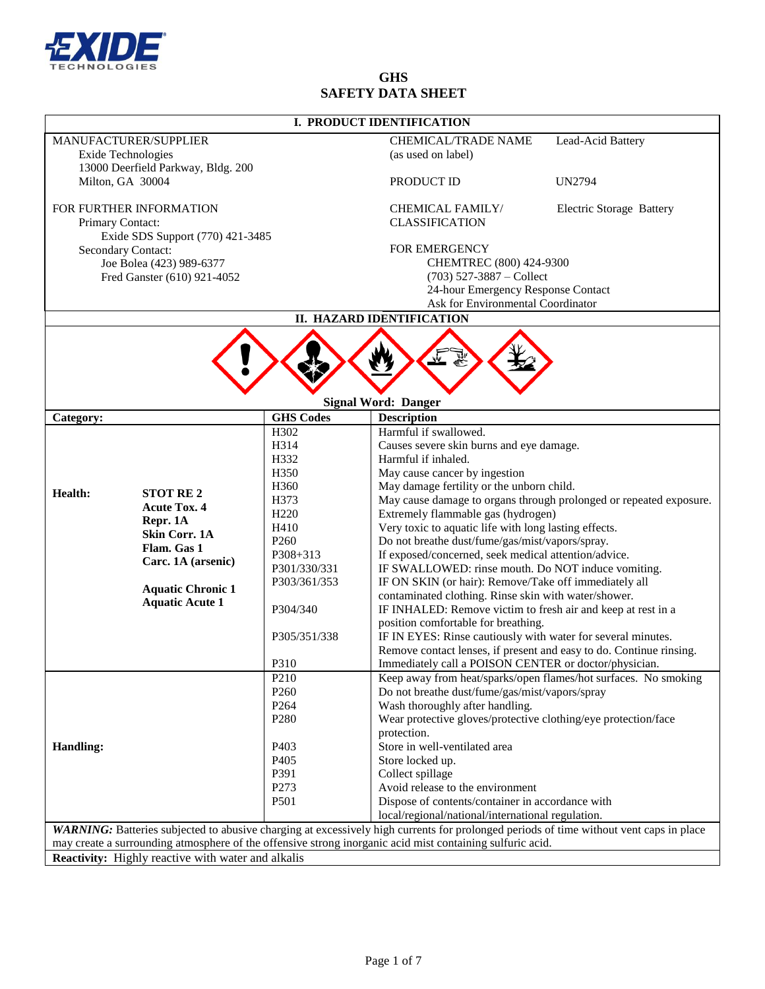

# **GHS SAFETY DATA SHEET**

|                                                           |                                  |                                                 | I. PRODUCT IDENTIFICATION                                                                                         |        |  |  |
|-----------------------------------------------------------|----------------------------------|-------------------------------------------------|-------------------------------------------------------------------------------------------------------------------|--------|--|--|
| <b>MANUFACTURER/SUPPLIER</b><br><b>Exide Technologies</b> |                                  | <b>CHEMICAL/TRADE NAME</b><br>Lead-Acid Battery |                                                                                                                   |        |  |  |
|                                                           |                                  |                                                 | (as used on label)                                                                                                |        |  |  |
| 13000 Deerfield Parkway, Bldg. 200<br>Milton, GA 30004    |                                  |                                                 |                                                                                                                   |        |  |  |
|                                                           |                                  |                                                 | PRODUCT ID                                                                                                        | UN2794 |  |  |
| FOR FURTHER INFORMATION                                   |                                  | <b>CHEMICAL FAMILY/</b>                         | <b>Electric Storage Battery</b>                                                                                   |        |  |  |
| Primary Contact:                                          |                                  |                                                 | <b>CLASSIFICATION</b>                                                                                             |        |  |  |
|                                                           | Exide SDS Support (770) 421-3485 |                                                 |                                                                                                                   |        |  |  |
| Secondary Contact:                                        |                                  | FOR EMERGENCY                                   |                                                                                                                   |        |  |  |
| Joe Bolea (423) 989-6377<br>Fred Ganster (610) 921-4052   |                                  | CHEMTREC (800) 424-9300                         |                                                                                                                   |        |  |  |
|                                                           |                                  | $(703)$ 527-3887 – Collect                      |                                                                                                                   |        |  |  |
|                                                           |                                  |                                                 | 24-hour Emergency Response Contact                                                                                |        |  |  |
|                                                           |                                  |                                                 | Ask for Environmental Coordinator                                                                                 |        |  |  |
|                                                           |                                  |                                                 | II. HAZARD IDENTIFICATION                                                                                         |        |  |  |
|                                                           |                                  |                                                 | <u>ww</u><br><b>Signal Word: Danger</b>                                                                           |        |  |  |
| Category:                                                 |                                  | <b>GHS Codes</b>                                | <b>Description</b>                                                                                                |        |  |  |
|                                                           |                                  | H302                                            | Harmful if swallowed.                                                                                             |        |  |  |
|                                                           |                                  | H314                                            | Causes severe skin burns and eye damage.                                                                          |        |  |  |
|                                                           |                                  | H332                                            | Harmful if inhaled.                                                                                               |        |  |  |
|                                                           |                                  | H350                                            | May cause cancer by ingestion                                                                                     |        |  |  |
| Health:                                                   | <b>STOT RE2</b>                  | H <sub>360</sub>                                | May damage fertility or the unborn child.                                                                         |        |  |  |
|                                                           | <b>Acute Tox. 4</b>              | H373                                            | May cause damage to organs through prolonged or repeated exposure.                                                |        |  |  |
|                                                           | Repr. 1A                         | H <sub>220</sub>                                | Extremely flammable gas (hydrogen)                                                                                |        |  |  |
|                                                           | <b>Skin Corr. 1A</b>             | H410                                            | Very toxic to aquatic life with long lasting effects.                                                             |        |  |  |
|                                                           | Flam. Gas 1                      | P <sub>260</sub>                                | Do not breathe dust/fume/gas/mist/vapors/spray.                                                                   |        |  |  |
|                                                           |                                  | $P308 + 313$                                    | If exposed/concerned, seek medical attention/advice.                                                              |        |  |  |
|                                                           |                                  |                                                 |                                                                                                                   |        |  |  |
|                                                           | Carc. 1A (arsenic)               | P301/330/331                                    | IF SWALLOWED: rinse mouth. Do NOT induce vomiting.                                                                |        |  |  |
|                                                           | <b>Aquatic Chronic 1</b>         | P303/361/353                                    | IF ON SKIN (or hair): Remove/Take off immediately all                                                             |        |  |  |
|                                                           | <b>Aquatic Acute 1</b>           |                                                 | contaminated clothing. Rinse skin with water/shower.                                                              |        |  |  |
|                                                           |                                  | P304/340                                        | IF INHALED: Remove victim to fresh air and keep at rest in a                                                      |        |  |  |
|                                                           |                                  |                                                 | position comfortable for breathing.                                                                               |        |  |  |
|                                                           |                                  | P305/351/338                                    | IF IN EYES: Rinse cautiously with water for several minutes.                                                      |        |  |  |
|                                                           |                                  |                                                 | Remove contact lenses, if present and easy to do. Continue rinsing.                                               |        |  |  |
|                                                           |                                  | P310<br>P <sub>210</sub>                        | Immediately call a POISON CENTER or doctor/physician.                                                             |        |  |  |
|                                                           |                                  | P <sub>260</sub>                                | Keep away from heat/sparks/open flames/hot surfaces. No smoking<br>Do not breathe dust/fume/gas/mist/vapors/spray |        |  |  |
|                                                           |                                  | P <sub>264</sub>                                | Wash thoroughly after handling.                                                                                   |        |  |  |
|                                                           |                                  | P <sub>280</sub>                                | Wear protective gloves/protective clothing/eye protection/face                                                    |        |  |  |
|                                                           |                                  |                                                 | protection.                                                                                                       |        |  |  |
|                                                           |                                  | P403                                            | Store in well-ventilated area                                                                                     |        |  |  |
|                                                           |                                  | P405                                            | Store locked up.                                                                                                  |        |  |  |
|                                                           |                                  | P391                                            | Collect spillage                                                                                                  |        |  |  |
| <b>Handling:</b>                                          |                                  | P273                                            | Avoid release to the environment                                                                                  |        |  |  |
|                                                           |                                  | P <sub>501</sub>                                | Dispose of contents/container in accordance with<br>local/regional/national/international regulation.             |        |  |  |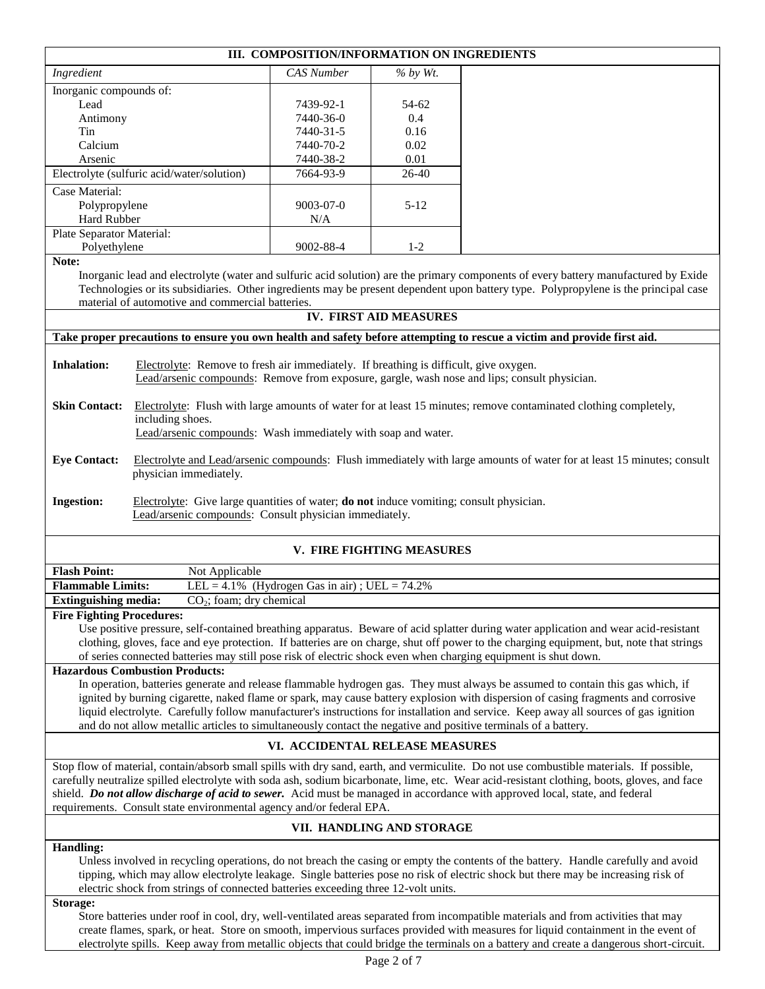|                                                                                                                                                                                                                                                                                                                                                                                                                                                      |                                                                                                                                                                                                                                                                                                                                | III. COMPOSITION/INFORMATION ON INGREDIENTS         |                           |                                                                                                                                                                                                                                                                                                                                                                                                                         |  |  |
|------------------------------------------------------------------------------------------------------------------------------------------------------------------------------------------------------------------------------------------------------------------------------------------------------------------------------------------------------------------------------------------------------------------------------------------------------|--------------------------------------------------------------------------------------------------------------------------------------------------------------------------------------------------------------------------------------------------------------------------------------------------------------------------------|-----------------------------------------------------|---------------------------|-------------------------------------------------------------------------------------------------------------------------------------------------------------------------------------------------------------------------------------------------------------------------------------------------------------------------------------------------------------------------------------------------------------------------|--|--|
| Ingredient                                                                                                                                                                                                                                                                                                                                                                                                                                           |                                                                                                                                                                                                                                                                                                                                | <b>CAS</b> Number                                   | % by Wt.                  |                                                                                                                                                                                                                                                                                                                                                                                                                         |  |  |
| Inorganic compounds of:                                                                                                                                                                                                                                                                                                                                                                                                                              |                                                                                                                                                                                                                                                                                                                                |                                                     |                           |                                                                                                                                                                                                                                                                                                                                                                                                                         |  |  |
| Lead                                                                                                                                                                                                                                                                                                                                                                                                                                                 |                                                                                                                                                                                                                                                                                                                                | 7439-92-1                                           | 54-62                     |                                                                                                                                                                                                                                                                                                                                                                                                                         |  |  |
| Antimony                                                                                                                                                                                                                                                                                                                                                                                                                                             |                                                                                                                                                                                                                                                                                                                                | 7440-36-0                                           | 0.4                       |                                                                                                                                                                                                                                                                                                                                                                                                                         |  |  |
| Tin                                                                                                                                                                                                                                                                                                                                                                                                                                                  |                                                                                                                                                                                                                                                                                                                                | 7440-31-5                                           | 0.16                      |                                                                                                                                                                                                                                                                                                                                                                                                                         |  |  |
| Calcium<br>Arsenic                                                                                                                                                                                                                                                                                                                                                                                                                                   |                                                                                                                                                                                                                                                                                                                                | 7440-70-2                                           | 0.02<br>0.01              |                                                                                                                                                                                                                                                                                                                                                                                                                         |  |  |
|                                                                                                                                                                                                                                                                                                                                                                                                                                                      |                                                                                                                                                                                                                                                                                                                                | 7440-38-2<br>7664-93-9                              | 26-40                     |                                                                                                                                                                                                                                                                                                                                                                                                                         |  |  |
| Case Material:                                                                                                                                                                                                                                                                                                                                                                                                                                       | Electrolyte (sulfuric acid/water/solution)                                                                                                                                                                                                                                                                                     |                                                     |                           |                                                                                                                                                                                                                                                                                                                                                                                                                         |  |  |
|                                                                                                                                                                                                                                                                                                                                                                                                                                                      | $5 - 12$<br>Polypropylene<br>$9003 - 07 - 0$                                                                                                                                                                                                                                                                                   |                                                     |                           |                                                                                                                                                                                                                                                                                                                                                                                                                         |  |  |
|                                                                                                                                                                                                                                                                                                                                                                                                                                                      | <b>Hard Rubber</b><br>N/A                                                                                                                                                                                                                                                                                                      |                                                     |                           |                                                                                                                                                                                                                                                                                                                                                                                                                         |  |  |
| Plate Separator Material:<br>Polyethylene<br>$1 - 2$<br>9002-88-4                                                                                                                                                                                                                                                                                                                                                                                    |                                                                                                                                                                                                                                                                                                                                |                                                     |                           |                                                                                                                                                                                                                                                                                                                                                                                                                         |  |  |
| Note:                                                                                                                                                                                                                                                                                                                                                                                                                                                | Inorganic lead and electrolyte (water and sulfuric acid solution) are the primary components of every battery manufactured by Exide<br>Technologies or its subsidiaries. Other ingredients may be present dependent upon battery type. Polypropylene is the principal case<br>material of automotive and commercial batteries. |                                                     |                           |                                                                                                                                                                                                                                                                                                                                                                                                                         |  |  |
|                                                                                                                                                                                                                                                                                                                                                                                                                                                      |                                                                                                                                                                                                                                                                                                                                |                                                     | IV. FIRST AID MEASURES    |                                                                                                                                                                                                                                                                                                                                                                                                                         |  |  |
|                                                                                                                                                                                                                                                                                                                                                                                                                                                      |                                                                                                                                                                                                                                                                                                                                |                                                     |                           | Take proper precautions to ensure you own health and safety before attempting to rescue a victim and provide first aid.                                                                                                                                                                                                                                                                                                 |  |  |
| <b>Inhalation:</b>                                                                                                                                                                                                                                                                                                                                                                                                                                   | Electrolyte: Remove to fresh air immediately. If breathing is difficult, give oxygen.                                                                                                                                                                                                                                          |                                                     |                           | Lead/arsenic compounds: Remove from exposure, gargle, wash nose and lips; consult physician.                                                                                                                                                                                                                                                                                                                            |  |  |
| <b>Skin Contact:</b>                                                                                                                                                                                                                                                                                                                                                                                                                                 | Electrolyte: Flush with large amounts of water for at least 15 minutes; remove contaminated clothing completely,<br>including shoes.<br>Lead/arsenic compounds: Wash immediately with soap and water.                                                                                                                          |                                                     |                           |                                                                                                                                                                                                                                                                                                                                                                                                                         |  |  |
| <b>Eye Contact:</b>                                                                                                                                                                                                                                                                                                                                                                                                                                  | Electrolyte and Lead/arsenic compounds: Flush immediately with large amounts of water for at least 15 minutes; consult<br>physician immediately.                                                                                                                                                                               |                                                     |                           |                                                                                                                                                                                                                                                                                                                                                                                                                         |  |  |
| <b>Ingestion:</b>                                                                                                                                                                                                                                                                                                                                                                                                                                    | Electrolyte: Give large quantities of water; <b>do not</b> induce vomiting; consult physician.<br>Lead/arsenic compounds: Consult physician immediately.                                                                                                                                                                       |                                                     |                           |                                                                                                                                                                                                                                                                                                                                                                                                                         |  |  |
|                                                                                                                                                                                                                                                                                                                                                                                                                                                      |                                                                                                                                                                                                                                                                                                                                |                                                     | V. FIRE FIGHTING MEASURES |                                                                                                                                                                                                                                                                                                                                                                                                                         |  |  |
| <b>Flash Point:</b>                                                                                                                                                                                                                                                                                                                                                                                                                                  | Not Applicable                                                                                                                                                                                                                                                                                                                 |                                                     |                           |                                                                                                                                                                                                                                                                                                                                                                                                                         |  |  |
| <b>Flammable Limits:</b>                                                                                                                                                                                                                                                                                                                                                                                                                             |                                                                                                                                                                                                                                                                                                                                | LEL = $4.1\%$ (Hydrogen Gas in air); UEL = $74.2\%$ |                           |                                                                                                                                                                                                                                                                                                                                                                                                                         |  |  |
| <b>Extinguishing media:</b><br>$CO2$ ; foam; dry chemical                                                                                                                                                                                                                                                                                                                                                                                            |                                                                                                                                                                                                                                                                                                                                |                                                     |                           |                                                                                                                                                                                                                                                                                                                                                                                                                         |  |  |
| <b>Fire Fighting Procedures:</b>                                                                                                                                                                                                                                                                                                                                                                                                                     | of series connected batteries may still pose risk of electric shock even when charging equipment is shut down.                                                                                                                                                                                                                 |                                                     |                           | Use positive pressure, self-contained breathing apparatus. Beware of acid splatter during water application and wear acid-resistant<br>clothing, gloves, face and eye protection. If batteries are on charge, shut off power to the charging equipment, but, note that strings                                                                                                                                          |  |  |
| <b>Hazardous Combustion Products:</b><br>In operation, batteries generate and release flammable hydrogen gas. They must always be assumed to contain this gas which, if<br>ignited by burning cigarette, naked flame or spark, may cause battery explosion with dispersion of casing fragments and corrosive<br>liquid electrolyte. Carefully follow manufacturer's instructions for installation and service. Keep away all sources of gas ignition |                                                                                                                                                                                                                                                                                                                                |                                                     |                           |                                                                                                                                                                                                                                                                                                                                                                                                                         |  |  |
|                                                                                                                                                                                                                                                                                                                                                                                                                                                      | and do not allow metallic articles to simultaneously contact the negative and positive terminals of a battery.                                                                                                                                                                                                                 |                                                     |                           |                                                                                                                                                                                                                                                                                                                                                                                                                         |  |  |
| VI. ACCIDENTAL RELEASE MEASURES                                                                                                                                                                                                                                                                                                                                                                                                                      |                                                                                                                                                                                                                                                                                                                                |                                                     |                           |                                                                                                                                                                                                                                                                                                                                                                                                                         |  |  |
|                                                                                                                                                                                                                                                                                                                                                                                                                                                      | requirements. Consult state environmental agency and/or federal EPA.                                                                                                                                                                                                                                                           |                                                     |                           | Stop flow of material, contain/absorb small spills with dry sand, earth, and vermiculite. Do not use combustible materials. If possible,<br>carefully neutralize spilled electrolyte with soda ash, sodium bicarbonate, lime, etc. Wear acid-resistant clothing, boots, gloves, and face<br>shield. Do not allow discharge of acid to sewer. Acid must be managed in accordance with approved local, state, and federal |  |  |
|                                                                                                                                                                                                                                                                                                                                                                                                                                                      | VII. HANDLING AND STORAGE                                                                                                                                                                                                                                                                                                      |                                                     |                           |                                                                                                                                                                                                                                                                                                                                                                                                                         |  |  |
| <b>Handling:</b>                                                                                                                                                                                                                                                                                                                                                                                                                                     | electric shock from strings of connected batteries exceeding three 12-volt units.                                                                                                                                                                                                                                              |                                                     |                           | Unless involved in recycling operations, do not breach the casing or empty the contents of the battery. Handle carefully and avoid<br>tipping, which may allow electrolyte leakage. Single batteries pose no risk of electric shock but there may be increasing risk of                                                                                                                                                 |  |  |
| Storage:                                                                                                                                                                                                                                                                                                                                                                                                                                             |                                                                                                                                                                                                                                                                                                                                |                                                     |                           | Store batteries under roof in cool, dry, well-ventilated areas separated from incompatible materials and from activities that may<br>create flames, spark, or heat. Store on smooth, impervious surfaces provided with measures for liquid containment in the event of                                                                                                                                                  |  |  |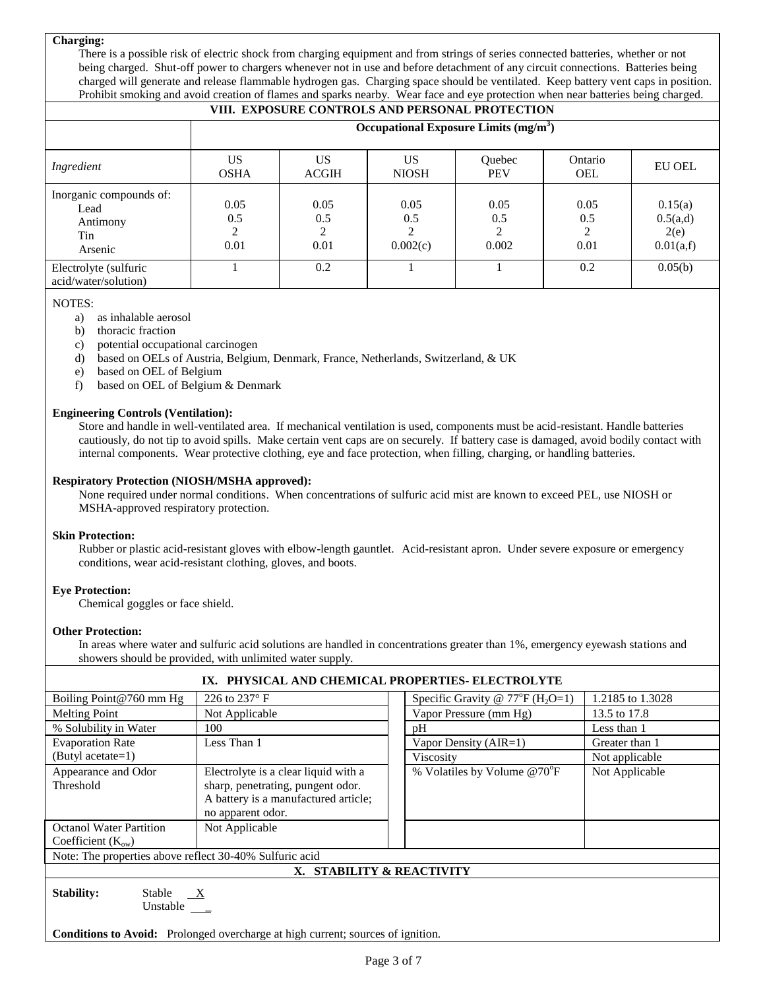## **Charging:**

There is a possible risk of electric shock from charging equipment and from strings of series connected batteries, whether or not being charged. Shut-off power to chargers whenever not in use and before detachment of any circuit connections. Batteries being charged will generate and release flammable hydrogen gas. Charging space should be ventilated. Keep battery vent caps in position. Prohibit smoking and avoid creation of flames and sparks nearby. Wear face and eye protection when near batteries being charged.

| VIII. EXPOSURE CONTROLS AND PERSONAL PROTECTION               |                                        |                     |                              |                             |                          |                                          |
|---------------------------------------------------------------|----------------------------------------|---------------------|------------------------------|-----------------------------|--------------------------|------------------------------------------|
|                                                               | Occupational Exposure Limits $(mg/m3)$ |                     |                              |                             |                          |                                          |
| Ingredient                                                    | US<br><b>OSHA</b>                      | US<br><b>ACGIH</b>  | US<br><b>NIOSH</b>           | <b>Ouebec</b><br><b>PEV</b> | Ontario<br><b>OEL</b>    | <b>EU OEL</b>                            |
| Inorganic compounds of:<br>Lead<br>Antimony<br>Tin<br>Arsenic | 0.05<br>0.5<br>0.01                    | 0.05<br>0.5<br>0.01 | 0.05<br>0.5<br>っ<br>0.002(c) | 0.05<br>0.5<br>2<br>0.002   | 0.05<br>0.5<br>2<br>0.01 | 0.15(a)<br>0.5(a,d)<br>2(e)<br>0.01(a,f) |
| Electrolyte (sulfuric<br>acid/water/solution)                 |                                        | 0.2                 |                              |                             | 0.2                      | 0.05(b)                                  |

NOTES:

- a) as inhalable aerosol
- b) thoracic fraction
- c) potential occupational carcinogen
- d) based on OELs of Austria, Belgium, Denmark, France, Netherlands, Switzerland, & UK
- e) based on OEL of Belgium
- f) based on OEL of Belgium & Denmark

## **Engineering Controls (Ventilation):**

Store and handle in well-ventilated area. If mechanical ventilation is used, components must be acid-resistant. Handle batteries cautiously, do not tip to avoid spills. Make certain vent caps are on securely. If battery case is damaged, avoid bodily contact with internal components. Wear protective clothing, eye and face protection, when filling, charging, or handling batteries.

#### **Respiratory Protection (NIOSH/MSHA approved):**

None required under normal conditions. When concentrations of sulfuric acid mist are known to exceed PEL, use NIOSH or MSHA-approved respiratory protection.

## **Skin Protection:**

Rubber or plastic acid-resistant gloves with elbow-length gauntlet. Acid-resistant apron. Under severe exposure or emergency conditions, wear acid-resistant clothing, gloves, and boots.

## **Eye Protection:**

Chemical goggles or face shield.

#### **Other Protection:**

In areas where water and sulfuric acid solutions are handled in concentrations greater than 1%, emergency eyewash stations and showers should be provided, with unlimited water supply.

| IX. PHYSICAL AND CHEMICAL PROPERTIES- ELECTROLYTE                                      |                                                                                                                                        |                                          |                  |  |
|----------------------------------------------------------------------------------------|----------------------------------------------------------------------------------------------------------------------------------------|------------------------------------------|------------------|--|
| Boiling Point@760 mm Hg                                                                | 226 to 237° F                                                                                                                          | Specific Gravity @ $77^{\circ}F(H_2O=1)$ | 1.2185 to 1.3028 |  |
| Not Applicable<br><b>Melting Point</b>                                                 |                                                                                                                                        | Vapor Pressure (mm Hg)                   | 13.5 to 17.8     |  |
| % Solubility in Water                                                                  | 100                                                                                                                                    | pH                                       | Less than 1      |  |
| <b>Evaporation Rate</b>                                                                | Less Than 1                                                                                                                            | Vapor Density (AIR=1)                    | Greater than 1   |  |
| (Butyl acetate=1)                                                                      |                                                                                                                                        | Viscosity                                | Not applicable   |  |
| Appearance and Odor<br>Threshold                                                       | Electrolyte is a clear liquid with a<br>sharp, penetrating, pungent odor.<br>A battery is a manufactured article;<br>no apparent odor. | % Volatiles by Volume @70°F              |                  |  |
| <b>Octanol Water Partition</b><br>Not Applicable<br>Coefficient $(K_{ow})$             |                                                                                                                                        |                                          |                  |  |
| Note: The properties above reflect 30-40% Sulfuric acid                                |                                                                                                                                        |                                          |                  |  |
| X. STABILITY & REACTIVITY                                                              |                                                                                                                                        |                                          |                  |  |
| Stability:<br>Stable $X$<br>Unstable $\qquad$                                          |                                                                                                                                        |                                          |                  |  |
| <b>Conditions to Avoid:</b> Prolonged overcharge at high current; sources of ignition. |                                                                                                                                        |                                          |                  |  |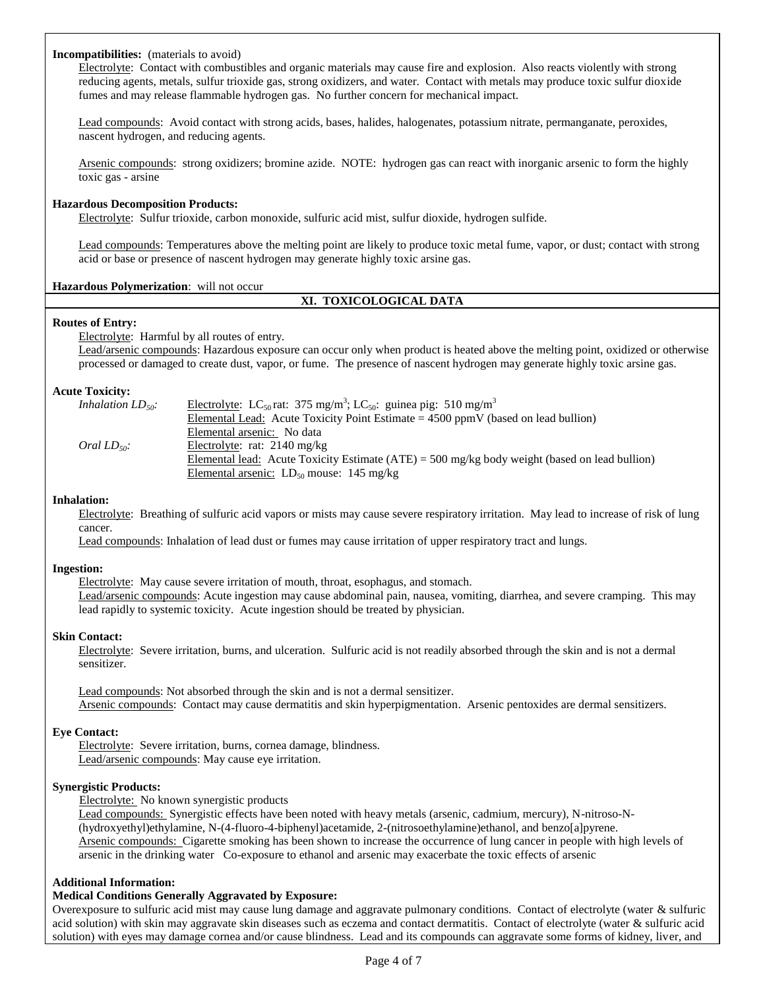#### **Incompatibilities:** (materials to avoid)

Electrolyte: Contact with combustibles and organic materials may cause fire and explosion. Also reacts violently with strong reducing agents, metals, sulfur trioxide gas, strong oxidizers, and water. Contact with metals may produce toxic sulfur dioxide fumes and may release flammable hydrogen gas. No further concern for mechanical impact.

Lead compounds: Avoid contact with strong acids, bases, halides, halogenates, potassium nitrate, permanganate, peroxides, nascent hydrogen, and reducing agents.

Arsenic compounds: strong oxidizers; bromine azide. NOTE: hydrogen gas can react with inorganic arsenic to form the highly toxic gas - arsine

#### **Hazardous Decomposition Products:**

Electrolyte: Sulfur trioxide, carbon monoxide, sulfuric acid mist, sulfur dioxide, hydrogen sulfide.

Lead compounds: Temperatures above the melting point are likely to produce toxic metal fume, vapor, or dust; contact with strong acid or base or presence of nascent hydrogen may generate highly toxic arsine gas.

**Hazardous Polymerization**: will not occur

## **XI. TOXICOLOGICAL DATA**

#### **Routes of Entry:**

Electrolyte: Harmful by all routes of entry.

Lead/arsenic compounds: Hazardous exposure can occur only when product is heated above the melting point, oxidized or otherwise processed or damaged to create dust, vapor, or fume. The presence of nascent hydrogen may generate highly toxic arsine gas.

#### **Acute Toxicity:**

| Inhalation $LD_{50}$ . | Electrolyte: LC <sub>50</sub> rat: 375 mg/m <sup>3</sup> ; LC <sub>50</sub> : guinea pig: 510 mg/m <sup>3</sup> |
|------------------------|-----------------------------------------------------------------------------------------------------------------|
|                        | Elemental Lead: Acute Toxicity Point Estimate $=$ 4500 ppmV (based on lead bullion)                             |
|                        | Elemental arsenic: No data                                                                                      |
| Oral $LD_{50}$ :       | Electrolyte: rat: $2140 \text{ mg/kg}$                                                                          |
|                        | Elemental lead: Acute Toxicity Estimate (ATE) = 500 mg/kg body weight (based on lead bullion)                   |
|                        | Elemental arsenic: $LD_{50}$ mouse: 145 mg/kg                                                                   |

#### **Inhalation:**

Electrolyte: Breathing of sulfuric acid vapors or mists may cause severe respiratory irritation. May lead to increase of risk of lung cancer.

Lead compounds: Inhalation of lead dust or fumes may cause irritation of upper respiratory tract and lungs.

#### **Ingestion:**

Electrolyte: May cause severe irritation of mouth, throat, esophagus, and stomach. Lead/arsenic compounds: Acute ingestion may cause abdominal pain, nausea, vomiting, diarrhea, and severe cramping. This may lead rapidly to systemic toxicity. Acute ingestion should be treated by physician.

#### **Skin Contact:**

Electrolyte: Severe irritation, burns, and ulceration. Sulfuric acid is not readily absorbed through the skin and is not a dermal sensitizer.

Lead compounds: Not absorbed through the skin and is not a dermal sensitizer. Arsenic compounds: Contact may cause dermatitis and skin hyperpigmentation. Arsenic pentoxides are dermal sensitizers.

#### **Eye Contact:**

Electrolyte: Severe irritation, burns, cornea damage, blindness. Lead/arsenic compounds: May cause eye irritation.

#### **Synergistic Products:**

Electrolyte: No known synergistic products

Lead compounds: Synergistic effects have been noted with heavy metals (arsenic, cadmium, mercury), N-nitroso-N- (hydroxyethyl)ethylamine, N-(4-fluoro-4-biphenyl)acetamide, 2-(nitrosoethylamine)ethanol, and benzo[a]pyrene. Arsenic compounds: Cigarette smoking has been shown to increase the occurrence of lung cancer in people with high levels of arsenic in the drinking water Co-exposure to ethanol and arsenic may exacerbate the toxic effects of arsenic

#### **Additional Information:**

#### **Medical Conditions Generally Aggravated by Exposure:**

Overexposure to sulfuric acid mist may cause lung damage and aggravate pulmonary conditions. Contact of electrolyte (water & sulfuric acid solution) with skin may aggravate skin diseases such as eczema and contact dermatitis. Contact of electrolyte (water  $\&$  sulfuric acid solution) with eyes may damage cornea and/or cause blindness. Lead and its compounds can aggravate some forms of kidney, liver, and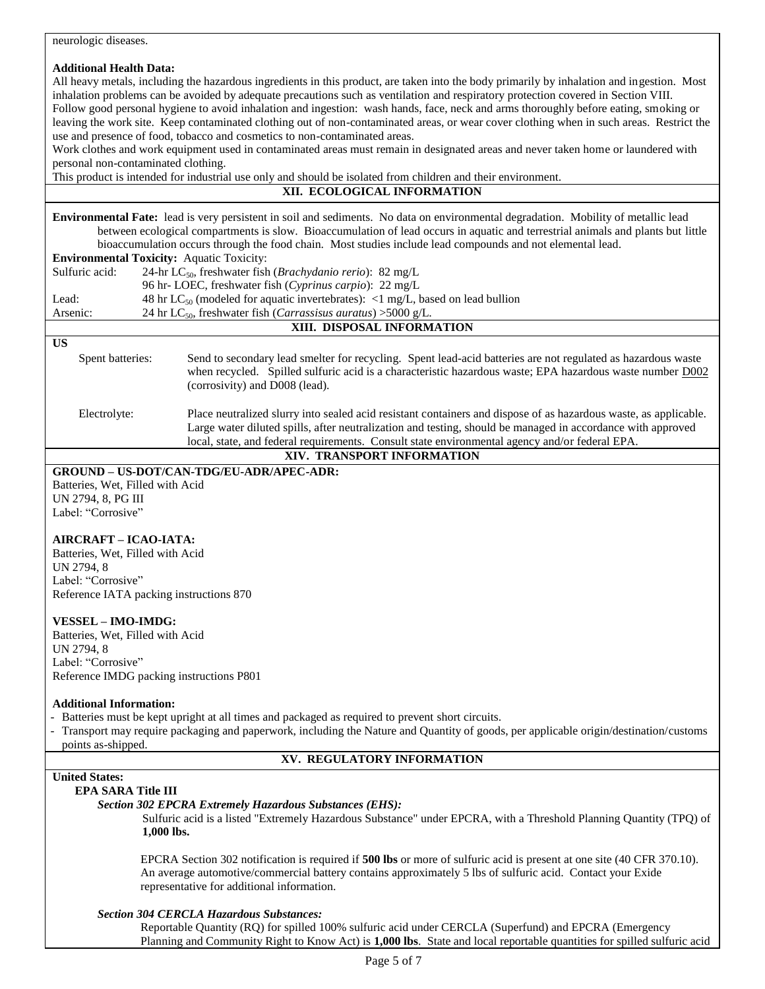| neurologic diseases.                                                                                                                                                                                                                                                                                                                                                                                                                                                                                                                                                                                                                                                                                                                                                                                                                                                                                                                                                                                            |  |  |  |  |
|-----------------------------------------------------------------------------------------------------------------------------------------------------------------------------------------------------------------------------------------------------------------------------------------------------------------------------------------------------------------------------------------------------------------------------------------------------------------------------------------------------------------------------------------------------------------------------------------------------------------------------------------------------------------------------------------------------------------------------------------------------------------------------------------------------------------------------------------------------------------------------------------------------------------------------------------------------------------------------------------------------------------|--|--|--|--|
| <b>Additional Health Data:</b><br>All heavy metals, including the hazardous ingredients in this product, are taken into the body primarily by inhalation and ingestion. Most<br>inhalation problems can be avoided by adequate precautions such as ventilation and respiratory protection covered in Section VIII.<br>Follow good personal hygiene to avoid inhalation and ingestion: wash hands, face, neck and arms thoroughly before eating, smoking or<br>leaving the work site. Keep contaminated clothing out of non-contaminated areas, or wear cover clothing when in such areas. Restrict the<br>use and presence of food, tobacco and cosmetics to non-contaminated areas.<br>Work clothes and work equipment used in contaminated areas must remain in designated areas and never taken home or laundered with<br>personal non-contaminated clothing.<br>This product is intended for industrial use only and should be isolated from children and their environment.<br>XII. ECOLOGICAL INFORMATION |  |  |  |  |
|                                                                                                                                                                                                                                                                                                                                                                                                                                                                                                                                                                                                                                                                                                                                                                                                                                                                                                                                                                                                                 |  |  |  |  |
| Environmental Fate: lead is very persistent in soil and sediments. No data on environmental degradation. Mobility of metallic lead<br>between ecological compartments is slow. Bioaccumulation of lead occurs in aquatic and terrestrial animals and plants but little<br>bioaccumulation occurs through the food chain. Most studies include lead compounds and not elemental lead.<br><b>Environmental Toxicity:</b> Aquatic Toxicity:<br>Sulfuric acid:<br>24-hr LC <sub>50</sub> , freshwater fish ( <i>Brachydanio rerio</i> ): 82 mg/L<br>96 hr- LOEC, freshwater fish (Cyprinus carpio): 22 mg/L<br>48 hr LC <sub>50</sub> (modeled for aquatic invertebrates): <1 mg/L, based on lead bullion<br>Lead:<br>24 hr LC <sub>50</sub> , freshwater fish ( <i>Carrassisus auratus</i> ) > 5000 g/L.<br>Arsenic:                                                                                                                                                                                               |  |  |  |  |
| XIII. DISPOSAL INFORMATION                                                                                                                                                                                                                                                                                                                                                                                                                                                                                                                                                                                                                                                                                                                                                                                                                                                                                                                                                                                      |  |  |  |  |
| <b>US</b>                                                                                                                                                                                                                                                                                                                                                                                                                                                                                                                                                                                                                                                                                                                                                                                                                                                                                                                                                                                                       |  |  |  |  |
| Spent batteries:<br>Send to secondary lead smelter for recycling. Spent lead-acid batteries are not regulated as hazardous waste<br>when recycled. Spilled sulfuric acid is a characteristic hazardous waste; EPA hazardous waste number D002<br>(corrosivity) and D008 (lead).                                                                                                                                                                                                                                                                                                                                                                                                                                                                                                                                                                                                                                                                                                                                 |  |  |  |  |
| Electrolyte:<br>Place neutralized slurry into sealed acid resistant containers and dispose of as hazardous waste, as applicable.<br>Large water diluted spills, after neutralization and testing, should be managed in accordance with approved<br>local, state, and federal requirements. Consult state environmental agency and/or federal EPA.                                                                                                                                                                                                                                                                                                                                                                                                                                                                                                                                                                                                                                                               |  |  |  |  |
| XIV. TRANSPORT INFORMATION                                                                                                                                                                                                                                                                                                                                                                                                                                                                                                                                                                                                                                                                                                                                                                                                                                                                                                                                                                                      |  |  |  |  |
| GROUND - US-DOT/CAN-TDG/EU-ADR/APEC-ADR:<br>Batteries, Wet, Filled with Acid<br>UN 2794, 8, PG III<br>Label: "Corrosive"<br>AIRCRAFT - ICAO-IATA:                                                                                                                                                                                                                                                                                                                                                                                                                                                                                                                                                                                                                                                                                                                                                                                                                                                               |  |  |  |  |
| Batteries, Wet, Filled with Acid<br>UN 2794, 8<br>Label: "Corrosive"<br>Reference IATA packing instructions 870                                                                                                                                                                                                                                                                                                                                                                                                                                                                                                                                                                                                                                                                                                                                                                                                                                                                                                 |  |  |  |  |
| <b>VESSEL - IMO-IMDG:</b><br>Batteries, Wet, Filled with Acid<br>UN 2794, 8<br>Label: "Corrosive"<br>Reference IMDG packing instructions P801                                                                                                                                                                                                                                                                                                                                                                                                                                                                                                                                                                                                                                                                                                                                                                                                                                                                   |  |  |  |  |
| <b>Additional Information:</b><br>- Batteries must be kept upright at all times and packaged as required to prevent short circuits.<br>- Transport may require packaging and paperwork, including the Nature and Quantity of goods, per applicable origin/destination/customs<br>points as-shipped.                                                                                                                                                                                                                                                                                                                                                                                                                                                                                                                                                                                                                                                                                                             |  |  |  |  |
| XV. REGULATORY INFORMATION                                                                                                                                                                                                                                                                                                                                                                                                                                                                                                                                                                                                                                                                                                                                                                                                                                                                                                                                                                                      |  |  |  |  |
| <b>United States:</b>                                                                                                                                                                                                                                                                                                                                                                                                                                                                                                                                                                                                                                                                                                                                                                                                                                                                                                                                                                                           |  |  |  |  |
| <b>EPA SARA Title III</b><br><b>Section 302 EPCRA Extremely Hazardous Substances (EHS):</b><br>Sulfuric acid is a listed "Extremely Hazardous Substance" under EPCRA, with a Threshold Planning Quantity (TPQ) of<br>1,000 lbs.                                                                                                                                                                                                                                                                                                                                                                                                                                                                                                                                                                                                                                                                                                                                                                                 |  |  |  |  |
| EPCRA Section 302 notification is required if 500 lbs or more of sulfuric acid is present at one site (40 CFR 370.10).<br>An average automotive/commercial battery contains approximately 5 lbs of sulfuric acid. Contact your Exide<br>representative for additional information.                                                                                                                                                                                                                                                                                                                                                                                                                                                                                                                                                                                                                                                                                                                              |  |  |  |  |
| <b>Section 304 CERCLA Hazardous Substances:</b><br>Reportable Quantity (RQ) for spilled 100% sulfuric acid under CERCLA (Superfund) and EPCRA (Emergency<br>Planning and Community Right to Know Act) is 1,000 lbs. State and local reportable quantities for spilled sulfuric acid                                                                                                                                                                                                                                                                                                                                                                                                                                                                                                                                                                                                                                                                                                                             |  |  |  |  |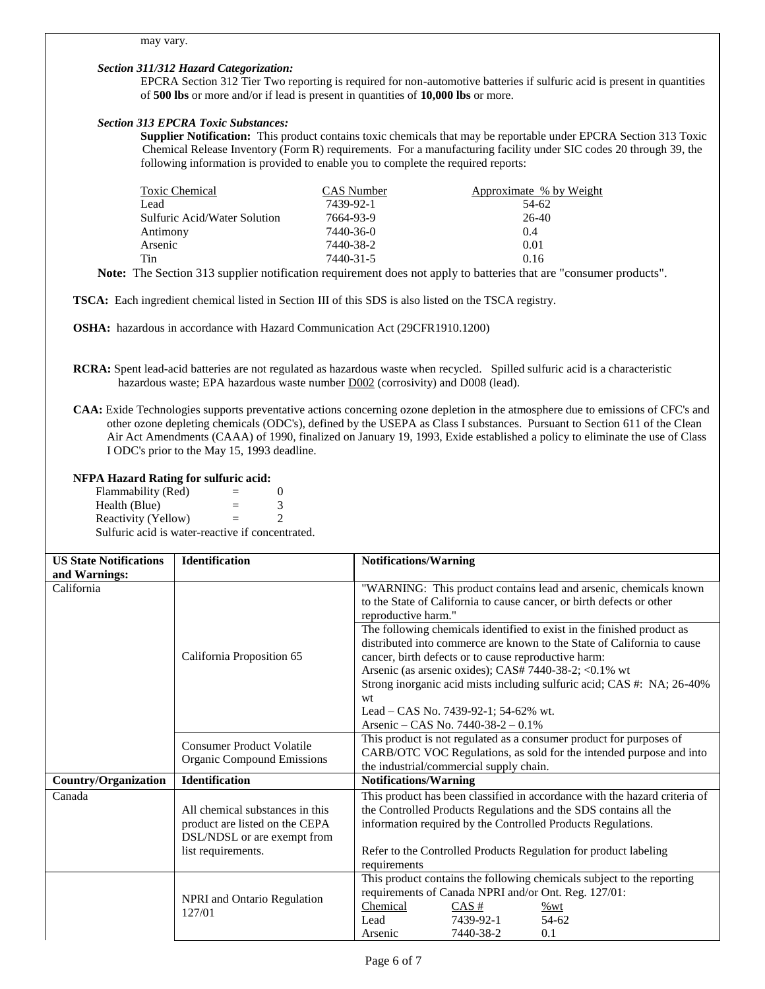#### *Section 311/312 Hazard Categorization:*

EPCRA Section 312 Tier Two reporting is required for non-automotive batteries if sulfuric acid is present in quantities of **500 lbs** or more and/or if lead is present in quantities of **10,000 lbs** or more.

#### *Section 313 EPCRA Toxic Substances:*

**Supplier Notification:** This product contains toxic chemicals that may be reportable under EPCRA Section 313 Toxic Chemical Release Inventory (Form R) requirements. For a manufacturing facility under SIC codes 20 through 39, the following information is provided to enable you to complete the required reports:

| Toxic Chemical                      | CAS Number | Approximate % by Weight |
|-------------------------------------|------------|-------------------------|
| Lead                                | 7439-92-1  | 54-62                   |
| <b>Sulfuric Acid/Water Solution</b> | 7664-93-9  | 26-40                   |
| Antimony                            | 7440-36-0  | 0.4                     |
| Arsenic                             | 7440-38-2  | 0.01                    |
| Tin                                 | 7440-31-5  | 0.16                    |

**Note:** The Section 313 supplier notification requirement does not apply to batteries that are "consumer products".

**TSCA:** Each ingredient chemical listed in Section III of this SDS is also listed on the TSCA registry.

**OSHA:** hazardous in accordance with Hazard Communication Act (29CFR1910.1200)

- **RCRA:** Spent lead-acid batteries are not regulated as hazardous waste when recycled. Spilled sulfuric acid is a characteristic hazardous waste; EPA hazardous waste number D002 (corrosivity) and D008 (lead).
- **CAA:** Exide Technologies supports preventative actions concerning ozone depletion in the atmosphere due to emissions of CFC's and other ozone depleting chemicals (ODC's), defined by the USEPA as Class I substances. Pursuant to Section 611 of the Clean Air Act Amendments (CAAA) of 1990, finalized on January 19, 1993, Exide established a policy to eliminate the use of Class I ODC's prior to the May 15, 1993 deadline.

#### **NFPA Hazard Rating for sulfuric acid:**

Flammability  $(Red)$  = 0 Health (Blue)  $=$  3 Reactivity (Yellow)  $=$  2 Sulfuric acid is water-reactive if concentrated.

| <b>US State Notifications</b> | <b>Identification</b>                                                                                                                                                                                                                                                                                                                                                                                                                                                                                                                                                                        | <b>Notifications/Warning</b>                                                                                                                                                                                               |  |  |
|-------------------------------|----------------------------------------------------------------------------------------------------------------------------------------------------------------------------------------------------------------------------------------------------------------------------------------------------------------------------------------------------------------------------------------------------------------------------------------------------------------------------------------------------------------------------------------------------------------------------------------------|----------------------------------------------------------------------------------------------------------------------------------------------------------------------------------------------------------------------------|--|--|
| and Warnings:                 |                                                                                                                                                                                                                                                                                                                                                                                                                                                                                                                                                                                              |                                                                                                                                                                                                                            |  |  |
| California                    | "WARNING: This product contains lead and arsenic, chemicals known<br>to the State of California to cause cancer, or birth defects or other<br>reproductive harm."<br>The following chemicals identified to exist in the finished product as<br>distributed into commerce are known to the State of California to cause<br>California Proposition 65<br>cancer, birth defects or to cause reproductive harm:<br>Arsenic (as arsenic oxides); CAS# 7440-38-2; <0.1% wt<br>Strong inorganic acid mists including sulfuric acid; CAS #: NA; 26-40%<br>wt<br>Lead – CAS No. 7439-92-1; 54-62% wt. |                                                                                                                                                                                                                            |  |  |
|                               |                                                                                                                                                                                                                                                                                                                                                                                                                                                                                                                                                                                              | Arsenic – CAS No. $7440-38-2-0.1\%$                                                                                                                                                                                        |  |  |
|                               | <b>Consumer Product Volatile</b><br><b>Organic Compound Emissions</b>                                                                                                                                                                                                                                                                                                                                                                                                                                                                                                                        | This product is not regulated as a consumer product for purposes of<br>CARB/OTC VOC Regulations, as sold for the intended purpose and into<br>the industrial/commercial supply chain.                                      |  |  |
| <b>Country/Organization</b>   | <b>Identification</b>                                                                                                                                                                                                                                                                                                                                                                                                                                                                                                                                                                        | <b>Notifications/Warning</b>                                                                                                                                                                                               |  |  |
| Canada                        | All chemical substances in this<br>product are listed on the CEPA<br>DSL/NDSL or are exempt from                                                                                                                                                                                                                                                                                                                                                                                                                                                                                             | This product has been classified in accordance with the hazard criteria of<br>the Controlled Products Regulations and the SDS contains all the<br>information required by the Controlled Products Regulations.             |  |  |
|                               | list requirements.<br>Refer to the Controlled Products Regulation for product labeling<br>requirements                                                                                                                                                                                                                                                                                                                                                                                                                                                                                       |                                                                                                                                                                                                                            |  |  |
|                               | <b>NPRI</b> and Ontario Regulation<br>127/01                                                                                                                                                                                                                                                                                                                                                                                                                                                                                                                                                 | This product contains the following chemicals subject to the reporting<br>requirements of Canada NPRI and/or Ont. Reg. 127/01:<br>Chemical<br>$CAS \#$<br>%wt<br>7439-92-1<br>54-62<br>Lead<br>7440-38-2<br>0.1<br>Arsenic |  |  |